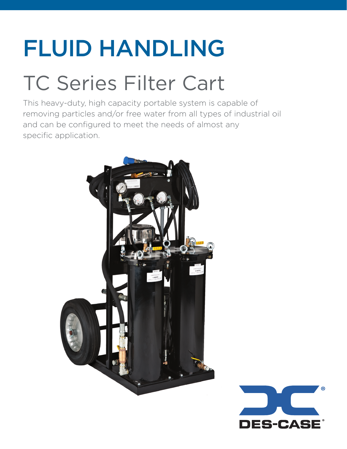# FLUID HANDLING

## TC Series Filter Cart

This heavy-duty, high capacity portable system is capable of removing particles and/or free water from all types of industrial oil and can be configured to meet the needs of almost any specific application.



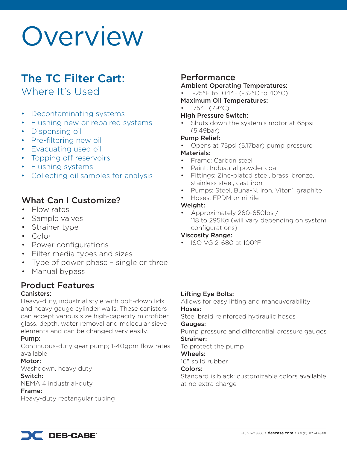## Overview

### The TC Filter Cart:

Where It's Used

- Decontaminating systems
- Flushing new or repaired systems
- Dispensing oil
- Pre-filtering new oil
- Evacuating used oil
- Topping off reservoirs
- Flushing systems
- Collecting oil samples for analysis

#### What Can I Customize?

- Flow rates
- Sample valves
- Strainer type
- Color
- Power configurations
- Filter media types and sizes
- Type of power phase single or three
- Manual bypass

#### Product Features Canisters:

Heavy-duty, industrial style with bolt-down lids and heavy gauge cylinder walls. These canisters can accept various size high-capacity microfiber glass, depth, water removal and molecular sieve elements and can be changed very easily.

#### Pump:

Continuous-duty gear pump; 1-40gpm flow rates available

#### Motor:

Washdown, heavy duty

#### Switch:

NEMA 4 industrial-duty

#### Frame:

Heavy-duty rectangular tubing

### Performance

#### Ambient Operating Temperatures:

- -25°F to 104°F (-32°C to 40°C)
- Maximum Oil Temperatures:
- 175°F (79°C)

#### High Pressure Switch:

• Shuts down the system's motor at 65psi (5.49bar)

#### Pump Relief:

• Opens at 75psi (5.17bar) pump pressure

#### Materials:

- Frame: Carbon steel
- Paint: Industrial powder coat
- Fittings: Zinc-plated steel, brass, bronze, stainless steel, cast iron
- Pumps: Steel, Buna-N, iron, Viton<sup>®</sup>, graphite
- Hoses: EPDM or nitrile

#### Weight:

• Approximately 260-650lbs / 118 to 295Kg (will vary depending on system configurations)

#### Viscosity Range:

• ISO VG 2-680 at 100°F

#### Lifting Eye Bolts:

Allows for easy lifting and maneuverability Hoses:

#### Steel braid reinforced hydraulic hoses

#### Gauges:

Pump pressure and differential pressure gauges Strainer:

To protect the pump

#### Wheels:

16" soild rubber

#### Colors:

Standard is black; customizable colors available at no extra charge